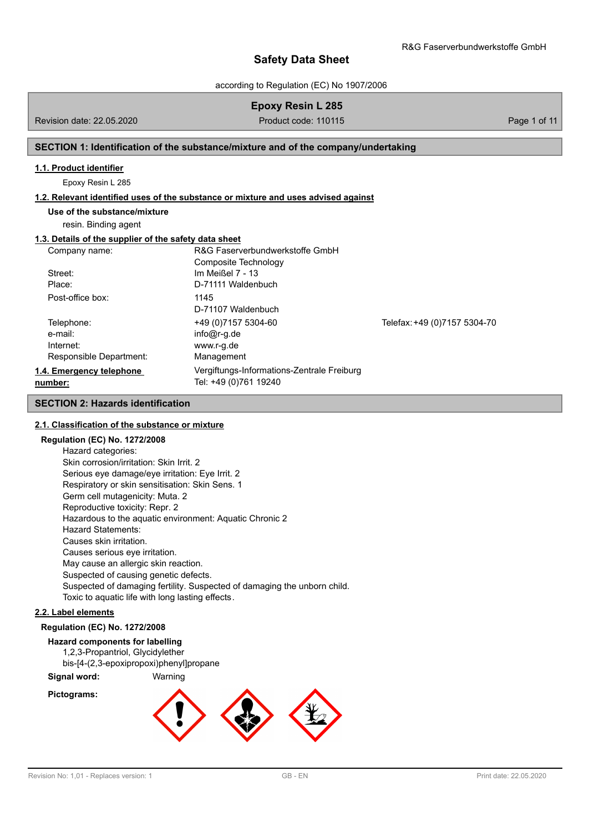according to Regulation (EC) No 1907/2006

## **Epoxy Resin L 285**

Revision date: 22.05.2020 **Product code: 110115** Page 1 of 11

## **SECTION 1: Identification of the substance/mixture and of the company/undertaking**

#### **1.1. Product identifier**

Epoxy Resin L 285

#### **1.2. Relevant identified uses of the substance or mixture and uses advised against**

**Use of the substance/mixture**

resin. Binding agent

## **1.3. Details of the supplier of the safety data sheet**

| Company name:                       | R&G Faserverbundwerkstoffe GmbH                                     |                              |
|-------------------------------------|---------------------------------------------------------------------|------------------------------|
|                                     | Composite Technology                                                |                              |
| Street:                             | Im Meißel 7 - 13                                                    |                              |
| Place:                              | D-71111 Waldenbuch                                                  |                              |
| Post-office box:                    | 1145                                                                |                              |
|                                     | D-71107 Waldenbuch                                                  |                              |
| Telephone:                          | +49 (0) 7157 5304-60                                                | Telefax: +49 (0)7157 5304-70 |
| e-mail:                             | info@r-g.de                                                         |                              |
| Internet:                           | www.r-g.de                                                          |                              |
| Responsible Department:             | Management                                                          |                              |
| 1.4. Emergency telephone<br>number: | Vergiftungs-Informations-Zentrale Freiburg<br>Tel: +49 (0)761 19240 |                              |

#### **SECTION 2: Hazards identification**

#### **2.1. Classification of the substance or mixture**

#### **Regulation (EC) No. 1272/2008**

Hazard categories: Skin corrosion/irritation: Skin Irrit. 2 Serious eye damage/eye irritation: Eye Irrit. 2 Respiratory or skin sensitisation: Skin Sens. 1 Germ cell mutagenicity: Muta. 2 Reproductive toxicity: Repr. 2 Hazardous to the aquatic environment: Aquatic Chronic 2 Hazard Statements: Causes skin irritation. Causes serious eye irritation. May cause an allergic skin reaction. Suspected of causing genetic defects. Suspected of damaging fertility. Suspected of damaging the unborn child. Toxic to aquatic life with long lasting effects.

#### **2.2. Label elements**

#### **Regulation (EC) No. 1272/2008**

#### **Hazard components for labelling**

1,2,3-Propantriol, Glycidylether bis-[4-(2,3-epoxipropoxi)phenyl]propane

# **Signal word:** Warning

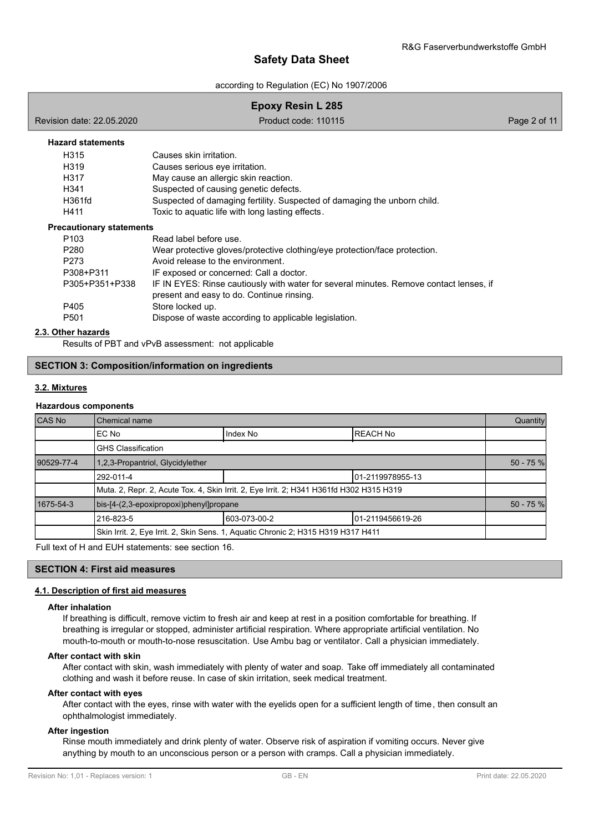according to Regulation (EC) No 1907/2006

|                                 | <b>Epoxy Resin L 285</b>                                                               |              |
|---------------------------------|----------------------------------------------------------------------------------------|--------------|
| Revision date: 22.05.2020       | Product code: 110115                                                                   | Page 2 of 11 |
| <b>Hazard statements</b>        |                                                                                        |              |
| H315                            | Causes skin irritation.                                                                |              |
| H <sub>3</sub> 19               | Causes serious eye irritation.                                                         |              |
| H317                            | May cause an allergic skin reaction.                                                   |              |
| H <sub>341</sub>                | Suspected of causing genetic defects.                                                  |              |
| H361fd                          | Suspected of damaging fertility. Suspected of damaging the unborn child.               |              |
| H411                            | Toxic to aguatic life with long lasting effects.                                       |              |
| <b>Precautionary statements</b> |                                                                                        |              |
| P <sub>103</sub>                | Read label before use.                                                                 |              |
| P280                            | Wear protective gloves/protective clothing/eye protection/face protection.             |              |
| P273                            | Avoid release to the environment.                                                      |              |
| P308+P311                       | IF exposed or concerned: Call a doctor.                                                |              |
| P305+P351+P338                  | IF IN EYES: Rinse cautiously with water for several minutes. Remove contact lenses, if |              |
|                                 | present and easy to do. Continue rinsing.                                              |              |
| P405                            | Store locked up.                                                                       |              |
| P <sub>501</sub>                | Dispose of waste according to applicable legislation.                                  |              |
| 2.3. Other hazards              |                                                                                        |              |

## **2.3. Other hazards**

Results of PBT and vPvB assessment: not applicable

### **SECTION 3: Composition/information on ingredients**

## **3.2. Mixtures**

#### **Hazardous components**

| <b>CAS No</b> | Chemical name                                                                           |              |                   | Quantity    |
|---------------|-----------------------------------------------------------------------------------------|--------------|-------------------|-------------|
|               | EC No                                                                                   | Index No     | <b>REACH No</b>   |             |
|               | GHS Classification                                                                      |              |                   |             |
| 90529-77-4    | 1,2,3-Propantriol, Glycidylether                                                        |              |                   | $50 - 75 %$ |
|               | 292-011-4                                                                               |              | 101-2119978955-13 |             |
|               | Muta. 2, Repr. 2, Acute Tox. 4, Skin Irrit. 2, Eye Irrit. 2; H341 H361fd H302 H315 H319 |              |                   |             |
| 1675-54-3     | bis-[4-(2,3-epoxipropoxi)phenyl]propane                                                 |              |                   | $50 - 75 %$ |
|               | 216-823-5                                                                               | 603-073-00-2 | 101-2119456619-26 |             |
|               | Skin Irrit. 2, Eye Irrit. 2, Skin Sens. 1, Aquatic Chronic 2; H315 H319 H317 H411       |              |                   |             |

Full text of H and EUH statements: see section 16.

### **SECTION 4: First aid measures**

## **4.1. Description of first aid measures**

#### **After inhalation**

If breathing is difficult, remove victim to fresh air and keep at rest in a position comfortable for breathing. If breathing is irregular or stopped, administer artificial respiration. Where appropriate artificial ventilation. No mouth-to-mouth or mouth-to-nose resuscitation. Use Ambu bag or ventilator. Call a physician immediately.

## **After contact with skin**

After contact with skin, wash immediately with plenty of water and soap. Take off immediately all contaminated clothing and wash it before reuse. In case of skin irritation, seek medical treatment.

### **After contact with eyes**

After contact with the eyes, rinse with water with the eyelids open for a sufficient length of time, then consult an ophthalmologist immediately.

## **After ingestion**

Rinse mouth immediately and drink plenty of water. Observe risk of aspiration if vomiting occurs. Never give anything by mouth to an unconscious person or a person with cramps. Call a physician immediately.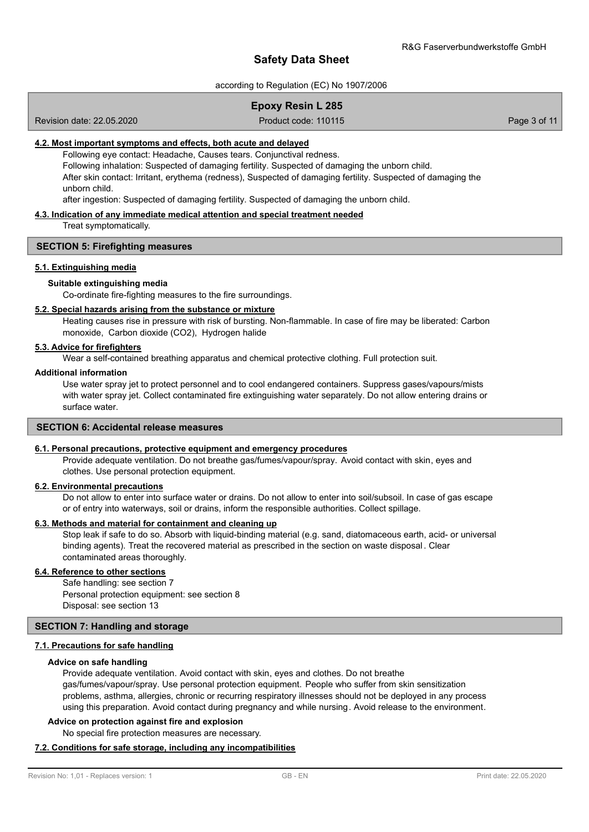according to Regulation (EC) No 1907/2006

## **Epoxy Resin L 285**

Revision date: 22.05.2020 **Product code: 110115** Product code: 110115

## **4.2. Most important symptoms and effects, both acute and delayed**

Following eye contact: Headache, Causes tears. Conjunctival redness.

Following inhalation: Suspected of damaging fertility. Suspected of damaging the unborn child. After skin contact: Irritant, erythema (redness), Suspected of damaging fertility. Suspected of damaging the unborn child.

after ingestion: Suspected of damaging fertility. Suspected of damaging the unborn child.

### **4.3. Indication of any immediate medical attention and special treatment needed**

Treat symptomatically.

### **SECTION 5: Firefighting measures**

## **5.1. Extinguishing media**

#### **Suitable extinguishing media**

Co-ordinate fire-fighting measures to the fire surroundings.

#### **5.2. Special hazards arising from the substance or mixture**

Heating causes rise in pressure with risk of bursting. Non-flammable. In case of fire may be liberated: Carbon monoxide, Carbon dioxide (CO2), Hydrogen halide

### **5.3. Advice for firefighters**

Wear a self-contained breathing apparatus and chemical protective clothing. Full protection suit.

## **Additional information**

Use water spray jet to protect personnel and to cool endangered containers. Suppress gases/vapours/mists with water spray jet. Collect contaminated fire extinguishing water separately. Do not allow entering drains or surface water.

#### **SECTION 6: Accidental release measures**

## **6.1. Personal precautions, protective equipment and emergency procedures**

Provide adequate ventilation. Do not breathe gas/fumes/vapour/spray. Avoid contact with skin, eyes and clothes. Use personal protection equipment.

#### **6.2. Environmental precautions**

Do not allow to enter into surface water or drains. Do not allow to enter into soil/subsoil. In case of gas escape or of entry into waterways, soil or drains, inform the responsible authorities. Collect spillage.

#### **6.3. Methods and material for containment and cleaning up**

Stop leak if safe to do so. Absorb with liquid-binding material (e.g. sand, diatomaceous earth, acid- or universal binding agents). Treat the recovered material as prescribed in the section on waste disposal . Clear contaminated areas thoroughly.

#### **6.4. Reference to other sections**

Safe handling: see section 7 Personal protection equipment: see section 8 Disposal: see section 13

## **SECTION 7: Handling and storage**

## **7.1. Precautions for safe handling**

#### **Advice on safe handling**

Provide adequate ventilation. Avoid contact with skin, eyes and clothes. Do not breathe gas/fumes/vapour/spray. Use personal protection equipment. People who suffer from skin sensitization problems, asthma, allergies, chronic or recurring respiratory illnesses should not be deployed in any process using this preparation. Avoid contact during pregnancy and while nursing. Avoid release to the environment.

#### **Advice on protection against fire and explosion**

No special fire protection measures are necessary.

### **7.2. Conditions for safe storage, including any incompatibilities**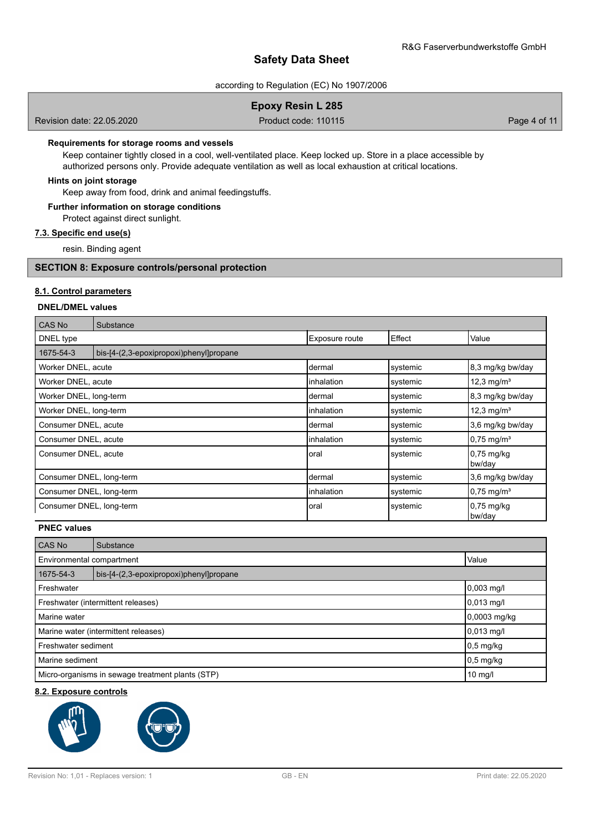## according to Regulation (EC) No 1907/2006

## **Epoxy Resin L 285**

Revision date: 22.05.2020 **Product code: 110115** Page 4 of 11

## **Requirements for storage rooms and vessels**

Keep container tightly closed in a cool, well-ventilated place. Keep locked up. Store in a place accessible by authorized persons only. Provide adequate ventilation as well as local exhaustion at critical locations.

## **Hints on joint storage**

Keep away from food, drink and animal feedingstuffs.

**Further information on storage conditions**

Protect against direct sunlight.

## **7.3. Specific end use(s)**

resin. Binding agent

## **SECTION 8: Exposure controls/personal protection**

### **8.1. Control parameters**

### **DNEL/DMEL values**

| <b>CAS No</b>            | Substance                               |                |                  |                        |
|--------------------------|-----------------------------------------|----------------|------------------|------------------------|
| DNEL type                |                                         | Exposure route | Effect           | Value                  |
| 1675-54-3                | bis-[4-(2,3-epoxipropoxi)phenyl]propane |                |                  |                        |
| Worker DNEL, acute       |                                         | dermal         | systemic         | 8,3 mg/kg bw/day       |
| Worker DNEL, acute       |                                         | inhalation     | systemic         | 12,3 mg/ $m3$          |
| Worker DNEL, long-term   |                                         | dermal         | systemic         | 8,3 mg/kg bw/day       |
| Worker DNEL, long-term   |                                         | inhalation     | systemic         | 12,3 mg/ $m3$          |
| Consumer DNEL, acute     |                                         | Idermal        | <b>Isystemic</b> | 3,6 mg/kg bw/day       |
| Consumer DNEL, acute     |                                         | linhalation    | systemic         | $0,75 \text{ mg/m}^3$  |
| Consumer DNEL, acute     |                                         | Ioral          | systemic         | $0.75$ mg/kg<br>bw/day |
| Consumer DNEL, long-term |                                         | dermal         | systemic         | 3,6 mg/kg bw/day       |
| Consumer DNEL, long-term |                                         | linhalation    | systemic         | $0,75 \text{ mg/m}^3$  |
| Consumer DNEL, long-term |                                         | Ioral          | systemic         | 0.75 mg/kg<br>bw/day   |

## **PNEC values**

| CAS No                                           | Substance                                        |              |  |
|--------------------------------------------------|--------------------------------------------------|--------------|--|
|                                                  | Value<br>Environmental compartment               |              |  |
| 1675-54-3                                        | bis-[4-(2,3-epoxipropoxi)phenyl]propane          |              |  |
| Freshwater                                       | $0,003$ mg/l                                     |              |  |
| 0,013 mg/l<br>Freshwater (intermittent releases) |                                                  |              |  |
| Marine water                                     |                                                  | 0,0003 mg/kg |  |
| Marine water (intermittent releases)             |                                                  | $0,013$ mg/l |  |
| Freshwater sediment                              |                                                  | $0.5$ mg/kg  |  |
| Marine sediment                                  |                                                  | $0,5$ mg/kg  |  |
|                                                  | Micro-organisms in sewage treatment plants (STP) | $10$ mg/l    |  |

## **8.2. Exposure controls**

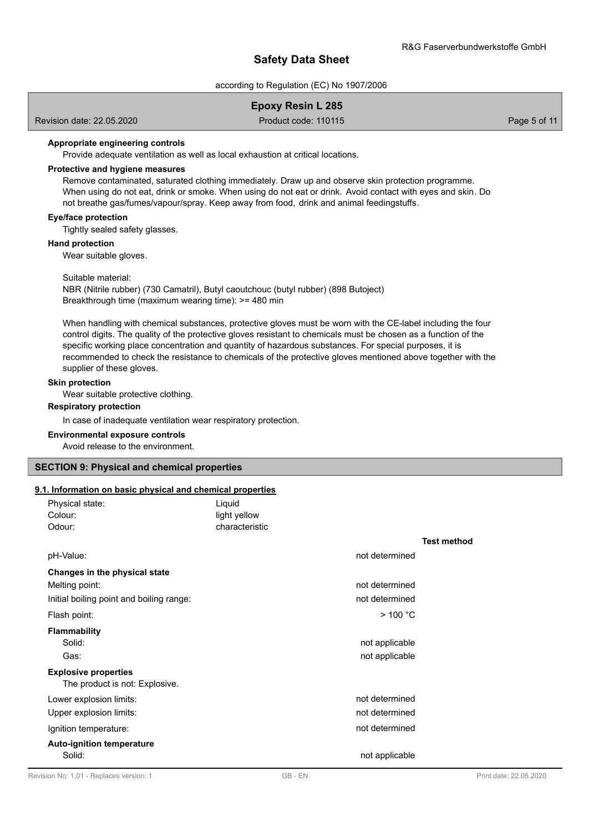according to Regulation (EC) No 1907/2006

## **Epoxy Resin L 285**

Revision date: 22.05.2020 **Product code: 110115** Product code: 110115

## **Appropriate engineering controls**

Provide adequate ventilation as well as local exhaustion at critical locations.

#### **Protective and hygiene measures**

Remove contaminated, saturated clothing immediately. Draw up and observe skin protection programme. When using do not eat, drink or smoke. When using do not eat or drink. Avoid contact with eyes and skin. Do not breathe gas/fumes/vapour/spray. Keep away from food, drink and animal feedingstuffs.

## **Eye/face protection**

Tightly sealed safety glasses.

#### **Hand protection**

Wear suitable gloves.

#### Suitable material:

NBR (Nitrile rubber) (730 Camatril), Butyl caoutchouc (butyl rubber) (898 Butoject) Breakthrough time (maximum wearing time): >= 480 min

When handling with chemical substances, protective gloves must be worn with the CE-label including the four control digits. The quality of the protective gloves resistant to chemicals must be chosen as a function of the specific working place concentration and quantity of hazardous substances. For special purposes, it is recommended to check the resistance to chemicals of the protective gloves mentioned above together with the supplier of these gloves.

#### **Skin protection**

Wear suitable protective clothing.

#### **Respiratory protection**

In case of inadequate ventilation wear respiratory protection.

#### **Environmental exposure controls**

Avoid release to the environment.

## **SECTION 9: Physical and chemical properties**

#### **9.1. Information on basic physical and chemical properties**

| Physical state:                          | Liquid         |                |                        |
|------------------------------------------|----------------|----------------|------------------------|
| Colour:                                  | light yellow   |                |                        |
| Odour:                                   | characteristic |                |                        |
|                                          |                |                | <b>Test method</b>     |
| pH-Value:                                |                | not determined |                        |
| Changes in the physical state            |                |                |                        |
| Melting point:                           |                | not determined |                        |
| Initial boiling point and boiling range: |                | not determined |                        |
| Flash point:                             |                | $>$ 100 °C     |                        |
| <b>Flammability</b>                      |                |                |                        |
| Solid:                                   |                | not applicable |                        |
| Gas:                                     |                | not applicable |                        |
| <b>Explosive properties</b>              |                |                |                        |
| The product is not: Explosive.           |                |                |                        |
| Lower explosion limits:                  |                | not determined |                        |
| Upper explosion limits:                  |                | not determined |                        |
| Ignition temperature:                    |                | not determined |                        |
| <b>Auto-ignition temperature</b>         |                |                |                        |
| Solid:                                   |                | not applicable |                        |
| Revision No: 1,01 - Replaces version: 1  | GB-EN          |                | Print date: 22.05.2020 |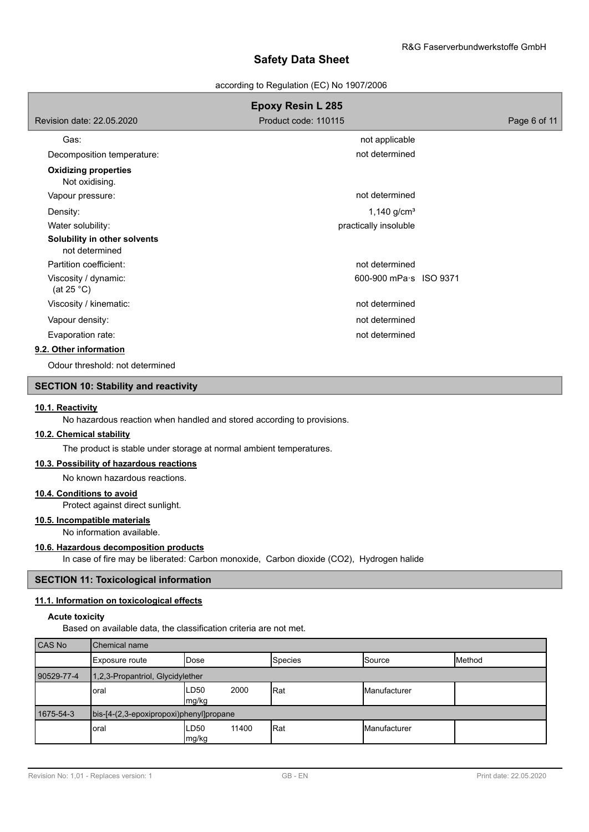according to Regulation (EC) No 1907/2006

|                                                | <b>Epoxy Resin L 285</b> |              |
|------------------------------------------------|--------------------------|--------------|
| Revision date: 22.05.2020                      | Product code: 110115     | Page 6 of 11 |
| Gas:                                           | not applicable           |              |
| Decomposition temperature:                     | not determined           |              |
| <b>Oxidizing properties</b><br>Not oxidising.  |                          |              |
| Vapour pressure:                               | not determined           |              |
| Density:                                       | 1,140 $g/cm^{3}$         |              |
| Water solubility:                              | practically insoluble    |              |
| Solubility in other solvents<br>not determined |                          |              |
| Partition coefficient:                         | not determined           |              |
| Viscosity / dynamic:<br>(at 25 $^{\circ}$ C)   | 600-900 mPa s ISO 9371   |              |
| Viscosity / kinematic:                         | not determined           |              |
| Vapour density:                                | not determined           |              |
| Evaporation rate:                              | not determined           |              |
| 9.2. Other information                         |                          |              |
| Odour threshold: not determined                |                          |              |

## **SECTION 10: Stability and reactivity**

### **10.1. Reactivity**

No hazardous reaction when handled and stored according to provisions.

## **10.2. Chemical stability**

The product is stable under storage at normal ambient temperatures.

### **10.3. Possibility of hazardous reactions**

No known hazardous reactions.

#### **10.4. Conditions to avoid**

Protect against direct sunlight.

## **10.5. Incompatible materials**

No information available.

## **10.6. Hazardous decomposition products**

In case of fire may be liberated: Carbon monoxide, Carbon dioxide (CO2), Hydrogen halide

## **SECTION 11: Toxicological information**

#### **11.1. Information on toxicological effects**

#### **Acute toxicity**

Based on available data, the classification criteria are not met.

| CAS No     | Chemical name                           |                        |            |                     |        |
|------------|-----------------------------------------|------------------------|------------|---------------------|--------|
|            | Exposure route                          | Dose                   | Species    | Source              | Method |
| 90529-77-4 | 1,2,3-Propantriol, Glycidylether        |                        |            |                     |        |
|            | oral                                    | 2000<br>LD50<br>mg/kg  | <b>Rat</b> | <b>Manufacturer</b> |        |
| 1675-54-3  | bis-[4-(2,3-epoxipropoxi)phenyl]propane |                        |            |                     |        |
|            | oral                                    | LD50<br>11400<br>mg/kg | <b>Rat</b> | <b>Manufacturer</b> |        |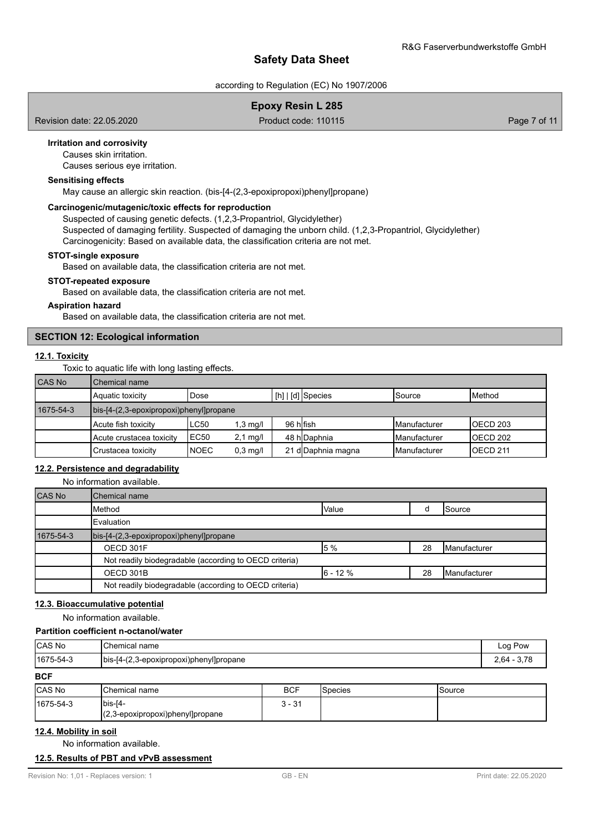according to Regulation (EC) No 1907/2006

## **Epoxy Resin L 285**

Revision date: 22.05.2020 **Product code: 110115** Product code: 110115

## **Irritation and corrosivity**

Causes skin irritation.

Causes serious eye irritation.

## **Sensitising effects**

May cause an allergic skin reaction. (bis-[4-(2,3-epoxipropoxi)phenyl]propane)

### **Carcinogenic/mutagenic/toxic effects for reproduction**

Suspected of causing genetic defects. (1,2,3-Propantriol, Glycidylether) Suspected of damaging fertility. Suspected of damaging the unborn child. (1,2,3-Propantriol, Glycidylether) Carcinogenicity: Based on available data, the classification criteria are not met.

### **STOT-single exposure**

Based on available data, the classification criteria are not met.

#### **STOT-repeated exposure**

Based on available data, the classification criteria are not met.

## **Aspiration hazard**

Based on available data, the classification criteria are not met.

## **SECTION 12: Ecological information**

#### **12.1. Toxicity**

Toxic to aquatic life with long lasting effects.

| CAS No    | Chemical name                                   |             |                   |                                     |                    |                      |                  |
|-----------|-------------------------------------------------|-------------|-------------------|-------------------------------------|--------------------|----------------------|------------------|
|           | Aquatic toxicity                                | Dose        |                   | $\lfloor$ [h] $\lfloor$ [d] Species |                    | <b>I</b> Source      | <b>I</b> Method  |
| 1675-54-3 | $\vert$ bis-[4-(2,3-epoxipropoxi)phenyl]propane |             |                   |                                     |                    |                      |                  |
|           | Acute fish toxicity                             | LC50        | $.3 \text{ mq/l}$ | 96 hlfish                           |                    | <b>IManufacturer</b> | <b>IOECD 203</b> |
|           | Acute crustacea toxicity                        | EC50        | $2,1$ mg/l        |                                     | 48 hlDaphnia       | <b>IManufacturer</b> | IOECD 202        |
|           | Crustacea toxicity                              | <b>NOEC</b> | $0,3$ mg/l        |                                     | 21 d Daphnia magna | <b>IManufacturer</b> | IOECD 211        |

## **12.2. Persistence and degradability**

|               | No information available.                              |              |    |                       |  |
|---------------|--------------------------------------------------------|--------------|----|-----------------------|--|
| <b>CAS No</b> | Chemical name                                          |              |    |                       |  |
|               | <b>I</b> Method                                        | <b>Value</b> |    | <b>Source</b>         |  |
|               | Evaluation                                             |              |    |                       |  |
| 1675-54-3     | bis-[4-(2,3-epoxipropoxi)phenyl]propane                |              |    |                       |  |
|               | OECD 301F                                              | 5 %          | 28 | <b>I</b> Manufacturer |  |
|               | Not readily biodegradable (according to OECD criteria) |              |    |                       |  |
|               | $6 - 12%$<br>OECD 301B<br>28<br><b>I</b> Manufacturer  |              |    |                       |  |
|               | Not readily biodegradable (according to OECD criteria) |              |    |                       |  |

## **12.3. Bioaccumulative potential**

No information available.

## **Partition coefficient n-octanol/water**

| CAS No            | IChemical name                          | Log Pow       |
|-------------------|-----------------------------------------|---------------|
| $ 1675 - 54 - 3 $ | bis-[4-(2,3-epoxipropoxi)phenyl]propane | $2,64 - 3,78$ |
| <b>BCF</b>        |                                         |               |

| <b>CAS No</b> | Chemical name                                  | <b>BCF</b>      | <b>I</b> Species | <b>Source</b> |
|---------------|------------------------------------------------|-----------------|------------------|---------------|
| 1675-54-3     | $Ibis-I4-$<br>(2,3-epoxipropoxi)phenyl]propane | - 2<br>ົ<br>ا پ |                  |               |

## **12.4. Mobility in soil**

No information available.

## **12.5. Results of PBT and vPvB assessment**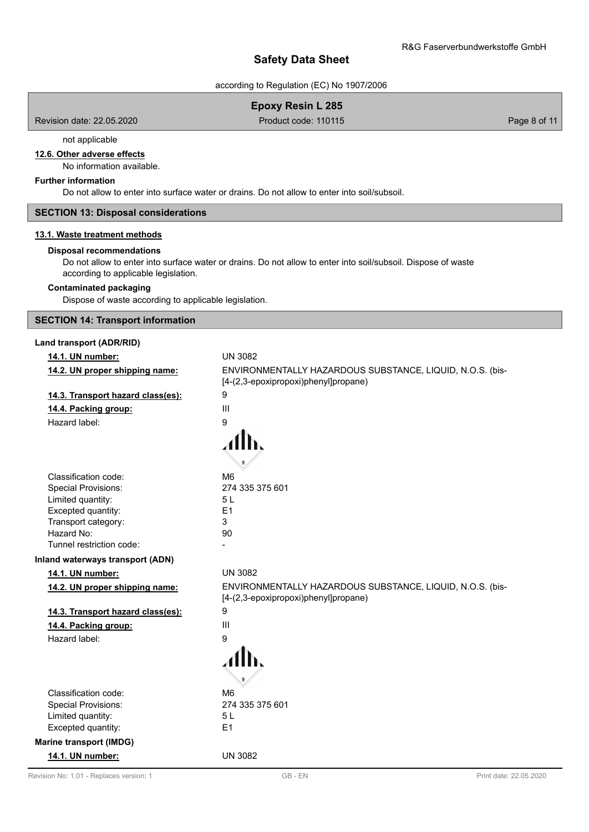according to Regulation (EC) No 1907/2006

## **Epoxy Resin L 285**

Revision date: 22.05.2020 **Product code: 110115** Product code: 110115

not applicable

## **12.6. Other adverse effects**

No information available.

## **Further information**

Do not allow to enter into surface water or drains. Do not allow to enter into soil/subsoil.

# **SECTION 13: Disposal considerations**

## **13.1. Waste treatment methods**

#### **Disposal recommendations**

Do not allow to enter into surface water or drains. Do not allow to enter into soil/subsoil. Dispose of waste according to applicable legislation.

#### **Contaminated packaging**

Dispose of waste according to applicable legislation.

## **SECTION 14: Transport information**

| Land transport (ADR/RID)          |                                                                                                   |
|-----------------------------------|---------------------------------------------------------------------------------------------------|
| 14.1. UN number:                  | <b>UN 3082</b>                                                                                    |
| 14.2. UN proper shipping name:    | ENVIRONMENTALLY HAZARDOUS SUBSTANCE, LIQUID, N.O.S. (bis-<br>[4-(2,3-epoxipropoxi)phenyl]propane) |
| 14.3. Transport hazard class(es): | 9                                                                                                 |
| 14.4. Packing group:              | III                                                                                               |
| Hazard label:                     | 9                                                                                                 |
|                                   |                                                                                                   |
| Classification code:              | M <sub>6</sub>                                                                                    |
| <b>Special Provisions:</b>        | 274 335 375 601                                                                                   |
| Limited quantity:                 | 5L                                                                                                |
| Excepted quantity:                | E1                                                                                                |
| Transport category:               | 3                                                                                                 |
| Hazard No:                        | 90                                                                                                |
| Tunnel restriction code:          |                                                                                                   |
| Inland waterways transport (ADN)  |                                                                                                   |
| 14.1. UN number:                  | <b>UN 3082</b>                                                                                    |
| 14.2. UN proper shipping name:    | ENVIRONMENTALLY HAZARDOUS SUBSTANCE, LIQUID, N.O.S. (bis-<br>[4-(2,3-epoxipropoxi)phenyl]propane) |
| 14.3. Transport hazard class(es): | 9                                                                                                 |
| 14.4. Packing group:              | III                                                                                               |
| Hazard label:                     | 9                                                                                                 |
|                                   |                                                                                                   |
| Classification code:              | M <sub>6</sub>                                                                                    |
| <b>Special Provisions:</b>        | 274 335 375 601                                                                                   |
| Limited quantity:                 | 5L                                                                                                |
| Excepted quantity:                | E1                                                                                                |
| <b>Marine transport (IMDG)</b>    |                                                                                                   |
| 14.1. UN number:                  | <b>UN 3082</b>                                                                                    |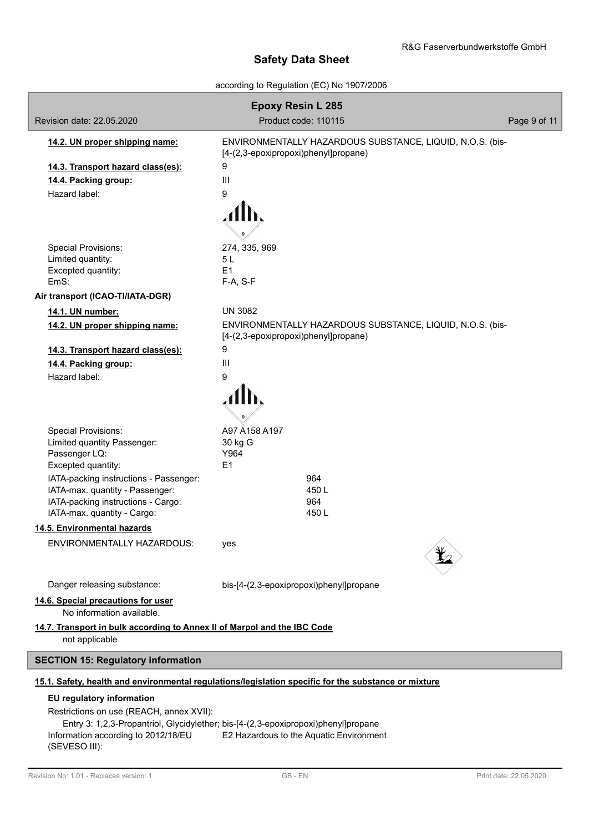according to Regulation (EC) No 1907/2006

| Revision date: 22.05.2020                                                                            | <b>Epoxy Resin L 285</b><br>Product code: 110115                                                  | Page 9 of 11 |
|------------------------------------------------------------------------------------------------------|---------------------------------------------------------------------------------------------------|--------------|
|                                                                                                      |                                                                                                   |              |
| 14.2. UN proper shipping name:                                                                       | ENVIRONMENTALLY HAZARDOUS SUBSTANCE, LIQUID, N.O.S. (bis-<br>[4-(2,3-epoxipropoxi)phenyl]propane) |              |
| 14.3. Transport hazard class(es):                                                                    | 9                                                                                                 |              |
| 14.4. Packing group:                                                                                 | Ш                                                                                                 |              |
| Hazard label:                                                                                        | 9                                                                                                 |              |
|                                                                                                      |                                                                                                   |              |
|                                                                                                      |                                                                                                   |              |
|                                                                                                      |                                                                                                   |              |
| <b>Special Provisions:</b><br>Limited quantity:                                                      | 274, 335, 969<br>5 L                                                                              |              |
| Excepted quantity:                                                                                   | E1                                                                                                |              |
| EmS:                                                                                                 | F-A, S-F                                                                                          |              |
| Air transport (ICAO-TI/IATA-DGR)                                                                     |                                                                                                   |              |
| 14.1. UN number:                                                                                     | <b>UN 3082</b>                                                                                    |              |
| 14.2. UN proper shipping name:                                                                       | ENVIRONMENTALLY HAZARDOUS SUBSTANCE, LIQUID, N.O.S. (bis-<br>[4-(2,3-epoxipropoxi)phenyl]propane) |              |
| 14.3. Transport hazard class(es):                                                                    | 9                                                                                                 |              |
| 14.4. Packing group:                                                                                 | $\mathbf{III}$                                                                                    |              |
| Hazard label:                                                                                        | 9                                                                                                 |              |
|                                                                                                      |                                                                                                   |              |
|                                                                                                      |                                                                                                   |              |
| <b>Special Provisions:</b>                                                                           | A97 A158 A197                                                                                     |              |
| Limited quantity Passenger:                                                                          | 30 kg G                                                                                           |              |
| Passenger LQ:                                                                                        | Y964                                                                                              |              |
| Excepted quantity:                                                                                   | E1                                                                                                |              |
| IATA-packing instructions - Passenger:<br>IATA-max. quantity - Passenger:                            | 964<br>450L                                                                                       |              |
| IATA-packing instructions - Cargo:                                                                   | 964                                                                                               |              |
| IATA-max. quantity - Cargo:                                                                          | 450L                                                                                              |              |
| 14.5. Environmental hazards                                                                          |                                                                                                   |              |
| ENVIRONMENTALLY HAZARDOUS:                                                                           | yes                                                                                               |              |
|                                                                                                      |                                                                                                   |              |
| Danger releasing substance:                                                                          | bis-[4-(2,3-epoxipropoxi)phenyl]propane                                                           |              |
| 14.6. Special precautions for user<br>No information available.                                      |                                                                                                   |              |
| 14.7. Transport in bulk according to Annex II of Marpol and the IBC Code<br>not applicable           |                                                                                                   |              |
|                                                                                                      |                                                                                                   |              |
| <b>SECTION 15: Regulatory information</b>                                                            |                                                                                                   |              |
| 15.1. Safety, health and environmental regulations/legislation specific for the substance or mixture |                                                                                                   |              |
| EU regulatory information                                                                            |                                                                                                   |              |
| Restrictions on use (REACH, annex XVII):                                                             |                                                                                                   |              |
| Entry 3: 1,2,3-Propantriol, Glycidylether; bis-[4-(2,3-epoxipropoxi)phenyl]propane                   |                                                                                                   |              |

Information according to 2012/18/EU (SEVESO III): E2 Hazardous to the Aquatic Environment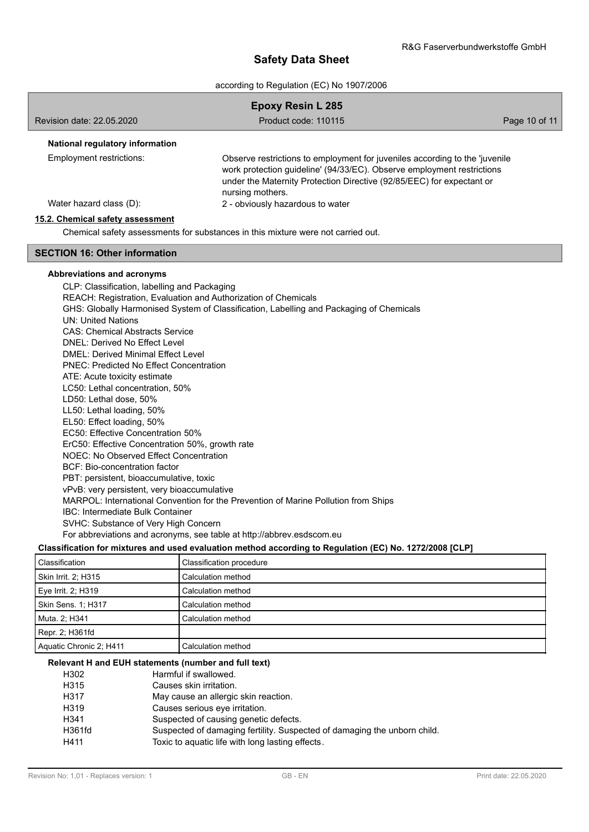according to Regulation (EC) No 1907/2006

| <b>Epoxy Resin L 285</b>         |                                                                                                                                                                                                                                                    |               |  |  |
|----------------------------------|----------------------------------------------------------------------------------------------------------------------------------------------------------------------------------------------------------------------------------------------------|---------------|--|--|
| Revision date: 22.05.2020        | Product code: 110115                                                                                                                                                                                                                               | Page 10 of 11 |  |  |
| National regulatory information  |                                                                                                                                                                                                                                                    |               |  |  |
| Employment restrictions:         | Observe restrictions to employment for juveniles according to the 'juvenile<br>work protection guideline' (94/33/EC). Observe employment restrictions<br>under the Maternity Protection Directive (92/85/EEC) for expectant or<br>nursing mothers. |               |  |  |
| Water hazard class (D):          | 2 - obviously hazardous to water                                                                                                                                                                                                                   |               |  |  |
| 15.3. Chamical safety assessment |                                                                                                                                                                                                                                                    |               |  |  |

#### **15.2. Chemical safety assessment**

Chemical safety assessments for substances in this mixture were not carried out.

### **SECTION 16: Other information**

## **Abbreviations and acronyms**

CLP: Classification, labelling and Packaging REACH: Registration, Evaluation and Authorization of Chemicals GHS: Globally Harmonised System of Classification, Labelling and Packaging of Chemicals UN: United Nations CAS: Chemical Abstracts Service DNEL: Derived No Effect Level DMEL: Derived Minimal Effect Level PNEC: Predicted No Effect Concentration ATE: Acute toxicity estimate LC50: Lethal concentration, 50% LD50: Lethal dose, 50% LL50: Lethal loading, 50% EL50: Effect loading, 50% EC50: Effective Concentration 50% ErC50: Effective Concentration 50%, growth rate NOEC: No Observed Effect Concentration BCF: Bio-concentration factor PBT: persistent, bioaccumulative, toxic vPvB: very persistent, very bioaccumulative MARPOL: International Convention for the Prevention of Marine Pollution from Ships IBC: Intermediate Bulk Container SVHC: Substance of Very High Concern For abbreviations and acronyms, see table at http://abbrev.esdscom.eu

### **Classification for mixtures and used evaluation method according to Regulation (EC) No. 1272/2008 [CLP]**

| Classification          | Classification procedure |
|-------------------------|--------------------------|
| Skin Irrit. 2; H315     | Calculation method       |
| Eye Irrit. 2; H319!     | Calculation method       |
| Skin Sens. 1: H317      | Calculation method       |
| Muta. 2; H341           | Calculation method       |
| Repr. 2; H361fd         |                          |
| Aquatic Chronic 2: H411 | Calculation method       |

#### **Relevant H and EUH statements (number and full text)**

| H302   | Harmful if swallowed.                                                    |
|--------|--------------------------------------------------------------------------|
| H315   | Causes skin irritation.                                                  |
| H317   | May cause an allergic skin reaction.                                     |
| H319   | Causes serious eve irritation.                                           |
| H341   | Suspected of causing genetic defects.                                    |
| H361fd | Suspected of damaging fertility. Suspected of damaging the unborn child. |
| H411   | Toxic to aquatic life with long lasting effects.                         |